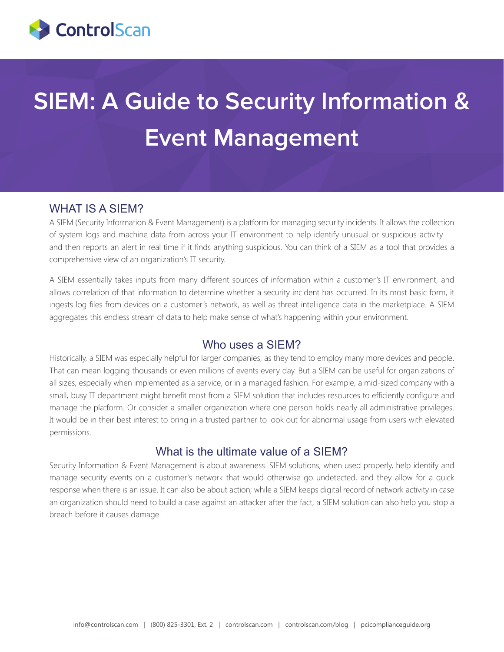

# **SIEM: A Guide to Security Information & Event Management**

## WHAT IS A SIEM?

A SIEM (Security Information & Event Management) is a platform for managing security incidents. It allows the collection of system logs and machine data from across your IT environment to help identify unusual or suspicious activity and then reports an alert in real time if it finds anything suspicious. You can think of a SIEM as a tool that provides a comprehensive view of an organization's IT security.

A SIEM essentially takes inputs from many different sources of information within a customer's IT environment, and allows correlation of that information to determine whether a security incident has occurred. In its most basic form, it ingests log files from devices on a customer's network, as well as threat intelligence data in the marketplace. A SIEM aggregates this endless stream of data to help make sense of what's happening within your environment.

## Who uses a SIEM?

Historically, a SIEM was especially helpful for larger companies, as they tend to employ many more devices and people. That can mean logging thousands or even millions of events every day. But a SIEM can be useful for organizations of all sizes, especially when implemented as a service, or in a managed fashion. For example, a mid-sized company with a small, busy IT department might benefit most from a SIEM solution that includes resources to efficiently configure and manage the platform. Or consider a smaller organization where one person holds nearly all administrative privileges. It would be in their best interest to bring in a trusted partner to look out for abnormal usage from users with elevated permissions.

## What is the ultimate value of a SIFM?

Security Information & Event Management is about awareness. SIEM solutions, when used properly, help identify and manage security events on a customer's network that would otherwise go undetected, and they allow for a quick response when there is an issue. It can also be about action; while a SIEM keeps digital record of network activity in case an organization should need to build a case against an attacker after the fact, a SIEM solution can also help you stop a breach before it causes damage.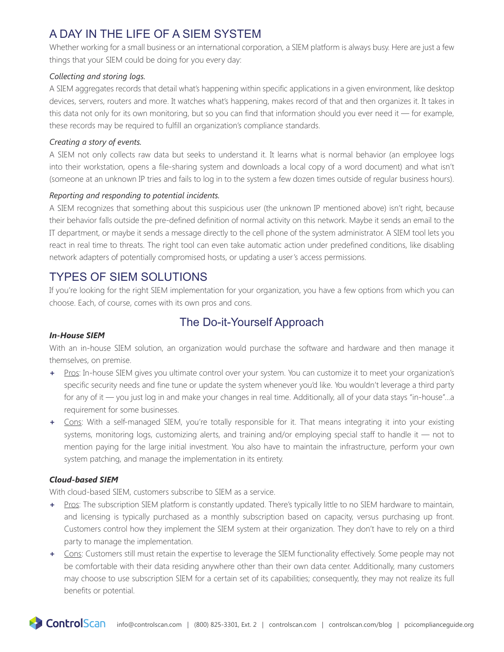# A DAY IN THE LIFE OF A SIEM SYSTEM

Whether working for a small business or an international corporation, a SIEM platform is always busy. Here are just a few things that your SIEM could be doing for you every day:

### *Collecting and storing logs.*

A SIEM aggregates records that detail what's happening within specific applications in a given environment, like desktop devices, servers, routers and more. It watches what's happening, makes record of that and then organizes it. It takes in this data not only for its own monitoring, but so you can find that information should you ever need it — for example, these records may be required to fulfill an organization's compliance standards.

### *Creating a story of events.*

A SIEM not only collects raw data but seeks to understand it. It learns what is normal behavior (an employee logs into their workstation, opens a file-sharing system and downloads a local copy of a word document) and what isn't (someone at an unknown IP tries and fails to log in to the system a few dozen times outside of regular business hours).

### *Reporting and responding to potential incidents.*

A SIEM recognizes that something about this suspicious user (the unknown IP mentioned above) isn't right, because their behavior falls outside the pre-defined definition of normal activity on this network. Maybe it sends an email to the IT department, or maybe it sends a message directly to the cell phone of the system administrator. A SIEM tool lets you react in real time to threats. The right tool can even take automatic action under predefined conditions, like disabling network adapters of potentially compromised hosts, or updating a user's access permissions.

## TYPES OF SIEM SOLUTIONS

If you're looking for the right SIEM implementation for your organization, you have a few options from which you can choose. Each, of course, comes with its own pros and cons.

## *In-House SIEM*

# The Do-it-Yourself Approach

With an in-house SIEM solution, an organization would purchase the software and hardware and then manage it themselves, on premise.

- **+** Pros: In-house SIEM gives you ultimate control over your system. You can customize it to meet your organization's specific security needs and fine tune or update the system whenever you'd like. You wouldn't leverage a third party for any of it — you just log in and make your changes in real time. Additionally, all of your data stays "in-house"...a requirement for some businesses.
- **+** Cons: With a self-managed SIEM, you're totally responsible for it. That means integrating it into your existing systems, monitoring logs, customizing alerts, and training and/or employing special staff to handle it — not to mention paying for the large initial investment. You also have to maintain the infrastructure, perform your own system patching, and manage the implementation in its entirety.

## *Cloud-based SIEM*

With cloud-based SIEM, customers subscribe to SIEM as a service.

- **+** Pros: The subscription SIEM platform is constantly updated. There's typically little to no SIEM hardware to maintain, and licensing is typically purchased as a monthly subscription based on capacity, versus purchasing up front. Customers control how they implement the SIEM system at their organization. They don't have to rely on a third party to manage the implementation.
- **+** Cons: Customers still must retain the expertise to leverage the SIEM functionality effectively. Some people may not be comfortable with their data residing anywhere other than their own data center. Additionally, many customers may choose to use subscription SIEM for a certain set of its capabilities; consequently, they may not realize its full benefits or potential.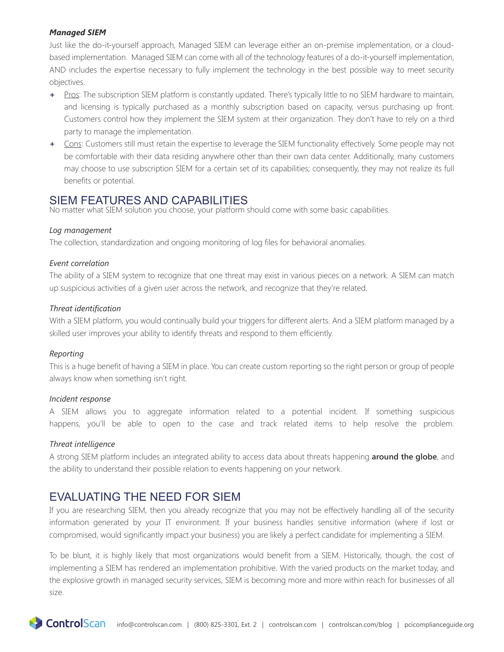#### *Managed SIEM*

Just like the do-it-yourself approach, Managed SIEM can leverage either an on-premise implementation, or a cloudbased implementation. Managed SIEM can come with all of the technology features of a do-it-yourself implementation, AND includes the expertise necessary to fully implement the technology in the best possible way to meet security objectives.

- **+** Pros: The subscription SIEM platform is constantly updated. There's typically little to no SIEM hardware to maintain, and licensing is typically purchased as a monthly subscription based on capacity, versus purchasing up front. Customers control how they implement the SIEM system at their organization. They don't have to rely on a third party to manage the implementation.
- **+** Cons: Customers still must retain the expertise to leverage the SIEM functionality effectively. Some people may not be comfortable with their data residing anywhere other than their own data center. Additionally, many customers may choose to use subscription SIEM for a certain set of its capabilities; consequently, they may not realize its full benefits or potential.

## SIEM FEATURES AND CAPABILITIES

No matter what SIEM solution you choose, your platform should come with some basic capabilities.

#### *Log management*

The collection, standardization and ongoing monitoring of log files for behavioral anomalies.

#### *Event correlation*

The ability of a SIEM system to recognize that one threat may exist in various pieces on a network. A SIEM can match up suspicious activities of a given user across the network, and recognize that they're related.

#### *Threat identification*

With a SIEM platform, you would continually build your triggers for different alerts. And a SIEM platform managed by a skilled user improves your ability to identify threats and respond to them efficiently.

#### *Reporting*

This is a huge benefit of having a SIEM in place. You can create custom reporting so the right person or group of people always know when something isn't right.

#### *Incident response*

A SIEM allows you to aggregate information related to a potential incident. If something suspicious happens, you'll be able to open to the case and track related items to help resolve the problem.

#### *Threat intelligence*

A strong SIEM platform includes an integrated ability to access data about threats happening **around the globe**, and the ability to understand their possible relation to events happening on your network.

## EVALUATING THE NEED FOR SIEM

If you are researching SIEM, then you already recognize that you may not be effectively handling all of the security information generated by your IT environment. If your business handles sensitive information (where if lost or compromised, would significantly impact your business) you are likely a perfect candidate for implementing a SIEM.

To be blunt, it is highly likely that most organizations would benefit from a SIEM. Historically, though, the cost of implementing a SIEM has rendered an implementation prohibitive. With the varied products on the market today, and the explosive growth in managed security services, SIEM is becoming more and more within reach for businesses of all size.

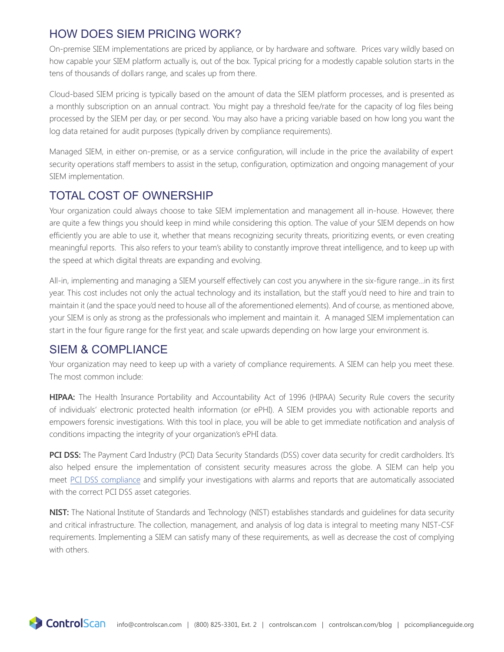## HOW DOES SIEM PRICING WORK?

On-premise SIEM implementations are priced by appliance, or by hardware and software. Prices vary wildly based on how capable your SIEM platform actually is, out of the box. Typical pricing for a modestly capable solution starts in the tens of thousands of dollars range, and scales up from there.

Cloud-based SIEM pricing is typically based on the amount of data the SIEM platform processes, and is presented as a monthly subscription on an annual contract. You might pay a threshold fee/rate for the capacity of log files being processed by the SIEM per day, or per second. You may also have a pricing variable based on how long you want the log data retained for audit purposes (typically driven by compliance requirements).

Managed SIEM, in either on-premise, or as a service configuration, will include in the price the availability of expert security operations staff members to assist in the setup, configuration, optimization and ongoing management of your SIEM implementation.

## TOTAL COST OF OWNERSHIP

Your organization could always choose to take SIEM implementation and management all in-house. However, there are quite a few things you should keep in mind while considering this option. The value of your SIEM depends on how efficiently you are able to use it, whether that means recognizing security threats, prioritizing events, or even creating meaningful reports. This also refers to your team's ability to constantly improve threat intelligence, and to keep up with the speed at which digital threats are expanding and evolving.

All-in, implementing and managing a SIEM yourself effectively can cost you anywhere in the six-figure range…in its first year. This cost includes not only the actual technology and its installation, but the staff you'd need to hire and train to maintain it (and the space you'd need to house all of the aforementioned elements). And of course, as mentioned above, your SIEM is only as strong as the professionals who implement and maintain it. A managed SIEM implementation can start in the four figure range for the first year, and scale upwards depending on how large your environment is.

## SIEM & COMPLIANCE

Your organization may need to keep up with a variety of compliance requirements. A SIEM can help you meet these. The most common include:

**HIPAA:** The Health Insurance Portability and Accountability Act of 1996 (HIPAA) Security Rule covers the security of individuals' electronic protected health information (or ePHI). A SIEM provides you with actionable reports and empowers forensic investigations. With this tool in place, you will be able to get immediate notification and analysis of conditions impacting the integrity of your organization's ePHI data.

**PCI DSS:** The Payment Card Industry (PCI) Data Security Standards (DSS) cover data security for credit cardholders. It's also helped ensure the implementation of consistent security measures across the globe. A SIEM can help you meet [PCI DSS compliance](https://www.controlscan.com/compliance/pci-compliance-overview/) and simplify your investigations with alarms and reports that are automatically associated with the correct PCI DSS asset categories.

**NIST:** The National Institute of Standards and Technology (NIST) establishes standards and guidelines for data security and critical infrastructure. The collection, management, and analysis of log data is integral to meeting many NIST-CSF requirements. Implementing a SIEM can satisfy many of these requirements, as well as decrease the cost of complying with others.